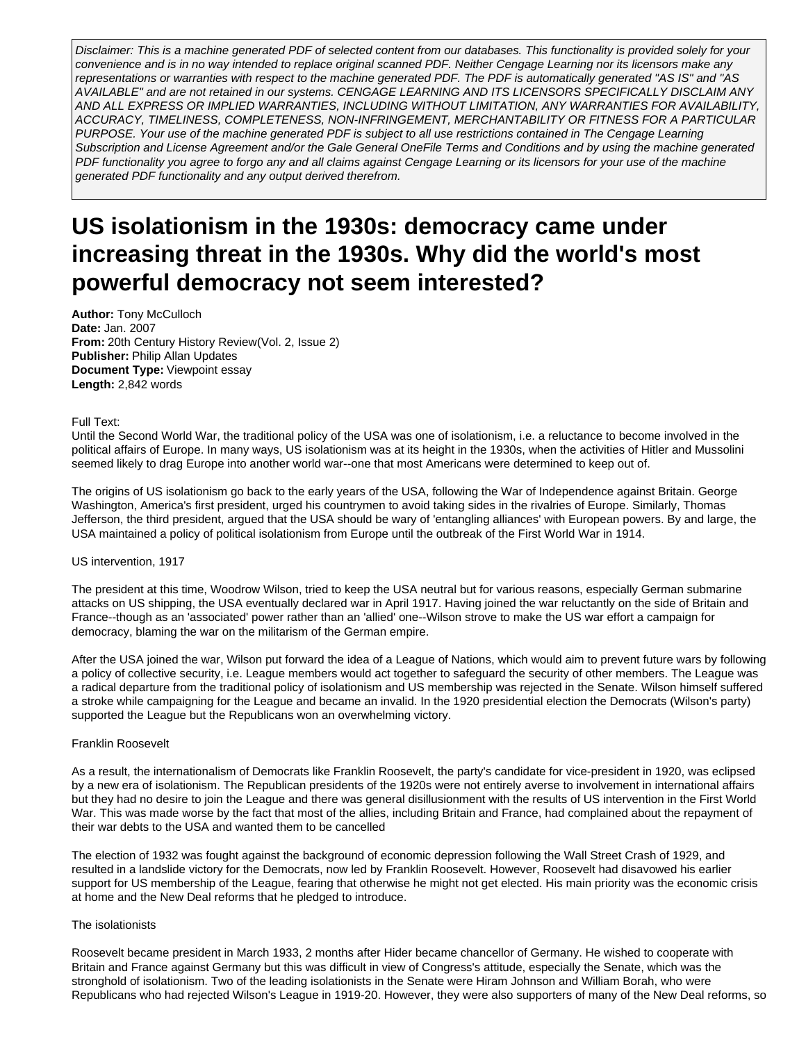Disclaimer: This is a machine generated PDF of selected content from our databases. This functionality is provided solely for your convenience and is in no way intended to replace original scanned PDF. Neither Cengage Learning nor its licensors make any representations or warranties with respect to the machine generated PDF. The PDF is automatically generated "AS IS" and "AS AVAILABLE" and are not retained in our systems. CENGAGE LEARNING AND ITS LICENSORS SPECIFICALLY DISCLAIM ANY AND ALL EXPRESS OR IMPLIED WARRANTIES, INCLUDING WITHOUT LIMITATION, ANY WARRANTIES FOR AVAILABILITY, ACCURACY, TIMELINESS, COMPLETENESS, NON-INFRINGEMENT, MERCHANTABILITY OR FITNESS FOR A PARTICULAR PURPOSE. Your use of the machine generated PDF is subject to all use restrictions contained in The Cengage Learning Subscription and License Agreement and/or the Gale General OneFile Terms and Conditions and by using the machine generated PDF functionality you agree to forgo any and all claims against Cengage Learning or its licensors for your use of the machine generated PDF functionality and any output derived therefrom.

# **US isolationism in the 1930s: democracy came under increasing threat in the 1930s. Why did the world's most powerful democracy not seem interested?**

**Author:** Tony McCulloch **Date:** Jan. 2007 **From:** 20th Century History Review(Vol. 2, Issue 2) **Publisher:** Philip Allan Updates **Document Type:** Viewpoint essay **Length:** 2,842 words

## Full Text:

Until the Second World War, the traditional policy of the USA was one of isolationism, i.e. a reluctance to become involved in the political affairs of Europe. In many ways, US isolationism was at its height in the 1930s, when the activities of Hitler and Mussolini seemed likely to drag Europe into another world war--one that most Americans were determined to keep out of.

The origins of US isolationism go back to the early years of the USA, following the War of Independence against Britain. George Washington, America's first president, urged his countrymen to avoid taking sides in the rivalries of Europe. Similarly, Thomas Jefferson, the third president, argued that the USA should be wary of 'entangling alliances' with European powers. By and large, the USA maintained a policy of political isolationism from Europe until the outbreak of the First World War in 1914.

## US intervention, 1917

The president at this time, Woodrow Wilson, tried to keep the USA neutral but for various reasons, especially German submarine attacks on US shipping, the USA eventually declared war in April 1917. Having joined the war reluctantly on the side of Britain and France--though as an 'associated' power rather than an 'allied' one--Wilson strove to make the US war effort a campaign for democracy, blaming the war on the militarism of the German empire.

After the USA joined the war, Wilson put forward the idea of a League of Nations, which would aim to prevent future wars by following a policy of collective security, i.e. League members would act together to safeguard the security of other members. The League was a radical departure from the traditional policy of isolationism and US membership was rejected in the Senate. Wilson himself suffered a stroke while campaigning for the League and became an invalid. In the 1920 presidential election the Democrats (Wilson's party) supported the League but the Republicans won an overwhelming victory.

## Franklin Roosevelt

As a result, the internationalism of Democrats like Franklin Roosevelt, the party's candidate for vice-president in 1920, was eclipsed by a new era of isolationism. The Republican presidents of the 1920s were not entirely averse to involvement in international affairs but they had no desire to join the League and there was general disillusionment with the results of US intervention in the First World War. This was made worse by the fact that most of the allies, including Britain and France, had complained about the repayment of their war debts to the USA and wanted them to be cancelled

The election of 1932 was fought against the background of economic depression following the Wall Street Crash of 1929, and resulted in a landslide victory for the Democrats, now led by Franklin Roosevelt. However, Roosevelt had disavowed his earlier support for US membership of the League, fearing that otherwise he might not get elected. His main priority was the economic crisis at home and the New Deal reforms that he pledged to introduce.

# The isolationists

Roosevelt became president in March 1933, 2 months after Hider became chancellor of Germany. He wished to cooperate with Britain and France against Germany but this was difficult in view of Congress's attitude, especially the Senate, which was the stronghold of isolationism. Two of the leading isolationists in the Senate were Hiram Johnson and William Borah, who were Republicans who had rejected Wilson's League in 1919-20. However, they were also supporters of many of the New Deal reforms, so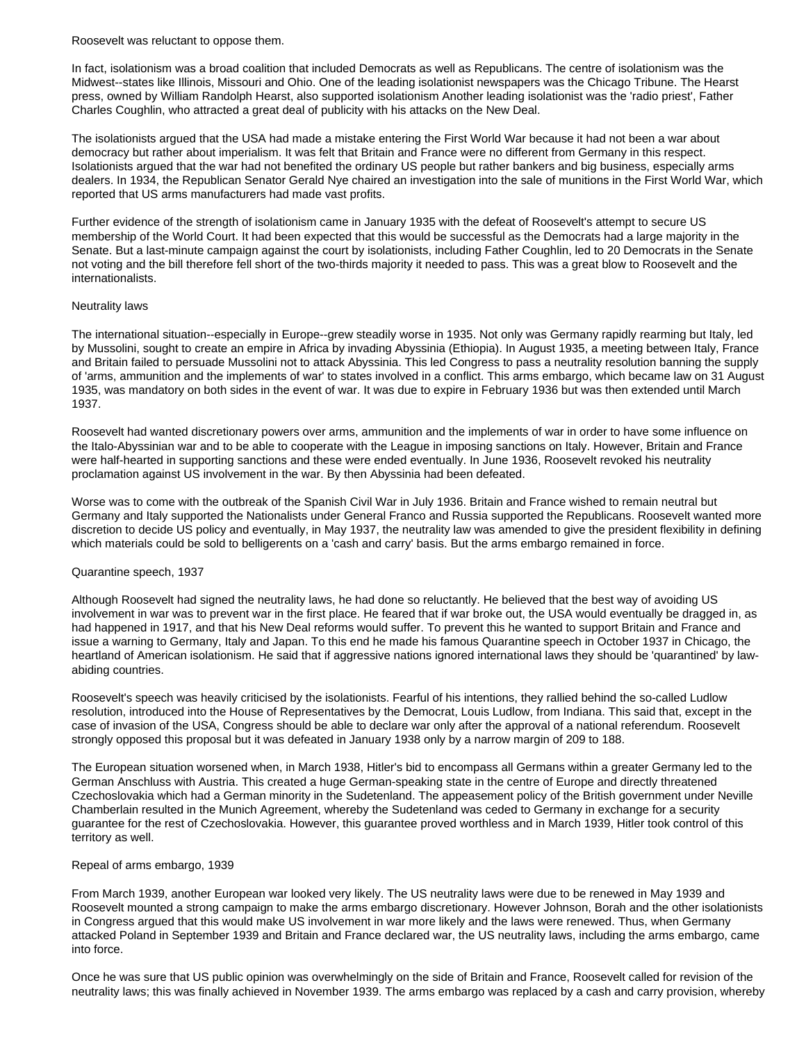Roosevelt was reluctant to oppose them.

In fact, isolationism was a broad coalition that included Democrats as well as Republicans. The centre of isolationism was the Midwest--states like Illinois, Missouri and Ohio. One of the leading isolationist newspapers was the Chicago Tribune. The Hearst press, owned by William Randolph Hearst, also supported isolationism Another leading isolationist was the 'radio priest', Father Charles Coughlin, who attracted a great deal of publicity with his attacks on the New Deal.

The isolationists argued that the USA had made a mistake entering the First World War because it had not been a war about democracy but rather about imperialism. It was felt that Britain and France were no different from Germany in this respect. Isolationists argued that the war had not benefited the ordinary US people but rather bankers and big business, especially arms dealers. In 1934, the Republican Senator Gerald Nye chaired an investigation into the sale of munitions in the First World War, which reported that US arms manufacturers had made vast profits.

Further evidence of the strength of isolationism came in January 1935 with the defeat of Roosevelt's attempt to secure US membership of the World Court. It had been expected that this would be successful as the Democrats had a large majority in the Senate. But a last-minute campaign against the court by isolationists, including Father Coughlin, led to 20 Democrats in the Senate not voting and the bill therefore fell short of the two-thirds majority it needed to pass. This was a great blow to Roosevelt and the internationalists.

## Neutrality laws

The international situation--especially in Europe--grew steadily worse in 1935. Not only was Germany rapidly rearming but Italy, led by Mussolini, sought to create an empire in Africa by invading Abyssinia (Ethiopia). In August 1935, a meeting between Italy, France and Britain failed to persuade Mussolini not to attack Abyssinia. This led Congress to pass a neutrality resolution banning the supply of 'arms, ammunition and the implements of war' to states involved in a conflict. This arms embargo, which became law on 31 August 1935, was mandatory on both sides in the event of war. It was due to expire in February 1936 but was then extended until March 1937.

Roosevelt had wanted discretionary powers over arms, ammunition and the implements of war in order to have some influence on the Italo-Abyssinian war and to be able to cooperate with the League in imposing sanctions on Italy. However, Britain and France were half-hearted in supporting sanctions and these were ended eventually. In June 1936, Roosevelt revoked his neutrality proclamation against US involvement in the war. By then Abyssinia had been defeated.

Worse was to come with the outbreak of the Spanish Civil War in July 1936. Britain and France wished to remain neutral but Germany and Italy supported the Nationalists under General Franco and Russia supported the Republicans. Roosevelt wanted more discretion to decide US policy and eventually, in May 1937, the neutrality law was amended to give the president flexibility in defining which materials could be sold to belligerents on a 'cash and carry' basis. But the arms embargo remained in force.

# Quarantine speech, 1937

Although Roosevelt had signed the neutrality laws, he had done so reluctantly. He believed that the best way of avoiding US involvement in war was to prevent war in the first place. He feared that if war broke out, the USA would eventually be dragged in, as had happened in 1917, and that his New Deal reforms would suffer. To prevent this he wanted to support Britain and France and issue a warning to Germany, Italy and Japan. To this end he made his famous Quarantine speech in October 1937 in Chicago, the heartland of American isolationism. He said that if aggressive nations ignored international laws they should be 'quarantined' by lawabiding countries.

Roosevelt's speech was heavily criticised by the isolationists. Fearful of his intentions, they rallied behind the so-called Ludlow resolution, introduced into the House of Representatives by the Democrat, Louis Ludlow, from Indiana. This said that, except in the case of invasion of the USA, Congress should be able to declare war only after the approval of a national referendum. Roosevelt strongly opposed this proposal but it was defeated in January 1938 only by a narrow margin of 209 to 188.

The European situation worsened when, in March 1938, Hitler's bid to encompass all Germans within a greater Germany led to the German Anschluss with Austria. This created a huge German-speaking state in the centre of Europe and directly threatened Czechoslovakia which had a German minority in the Sudetenland. The appeasement policy of the British government under Neville Chamberlain resulted in the Munich Agreement, whereby the Sudetenland was ceded to Germany in exchange for a security guarantee for the rest of Czechoslovakia. However, this guarantee proved worthless and in March 1939, Hitler took control of this territory as well.

# Repeal of arms embargo, 1939

From March 1939, another European war looked very likely. The US neutrality laws were due to be renewed in May 1939 and Roosevelt mounted a strong campaign to make the arms embargo discretionary. However Johnson, Borah and the other isolationists in Congress argued that this would make US involvement in war more likely and the laws were renewed. Thus, when Germany attacked Poland in September 1939 and Britain and France declared war, the US neutrality laws, including the arms embargo, came into force.

Once he was sure that US public opinion was overwhelmingly on the side of Britain and France, Roosevelt called for revision of the neutrality laws; this was finally achieved in November 1939. The arms embargo was replaced by a cash and carry provision, whereby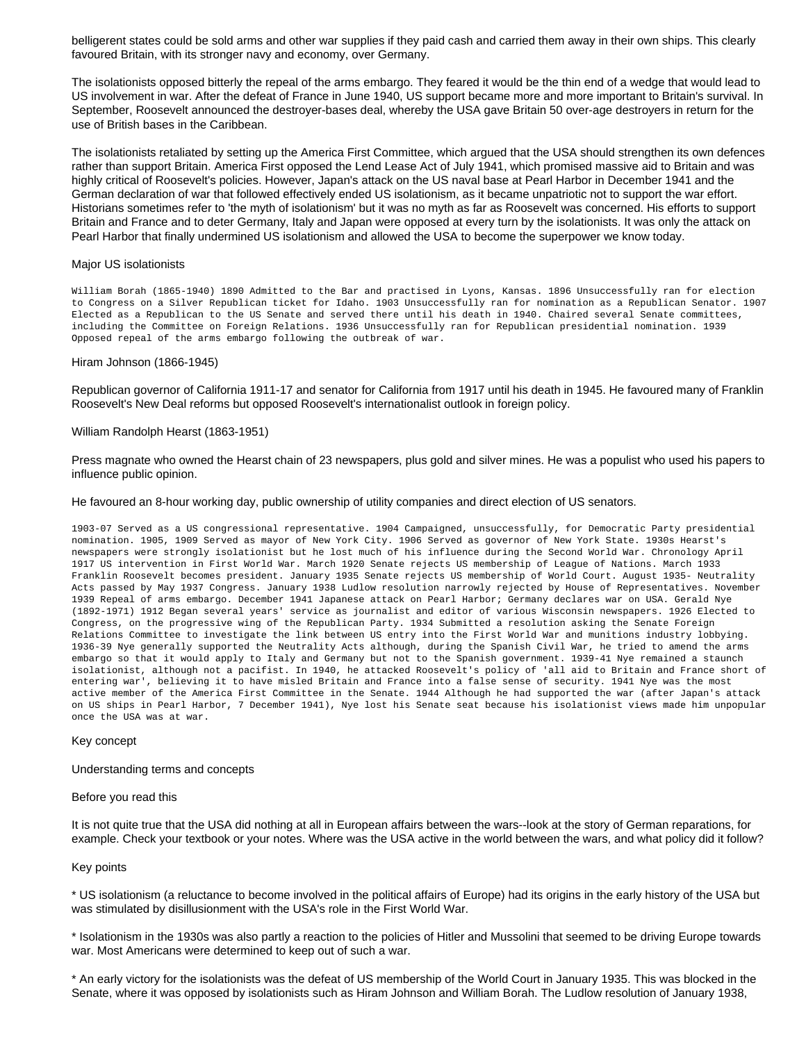belligerent states could be sold arms and other war supplies if they paid cash and carried them away in their own ships. This clearly favoured Britain, with its stronger navy and economy, over Germany.

The isolationists opposed bitterly the repeal of the arms embargo. They feared it would be the thin end of a wedge that would lead to US involvement in war. After the defeat of France in June 1940, US support became more and more important to Britain's survival. In September, Roosevelt announced the destroyer-bases deal, whereby the USA gave Britain 50 over-age destroyers in return for the use of British bases in the Caribbean.

The isolationists retaliated by setting up the America First Committee, which argued that the USA should strengthen its own defences rather than support Britain. America First opposed the Lend Lease Act of July 1941, which promised massive aid to Britain and was highly critical of Roosevelt's policies. However, Japan's attack on the US naval base at Pearl Harbor in December 1941 and the German declaration of war that followed effectively ended US isolationism, as it became unpatriotic not to support the war effort. Historians sometimes refer to 'the myth of isolationism' but it was no myth as far as Roosevelt was concerned. His efforts to support Britain and France and to deter Germany, Italy and Japan were opposed at every turn by the isolationists. It was only the attack on Pearl Harbor that finally undermined US isolationism and allowed the USA to become the superpower we know today.

#### Major US isolationists

William Borah (1865-1940) 1890 Admitted to the Bar and practised in Lyons, Kansas. 1896 Unsuccessfully ran for election to Congress on a Silver Republican ticket for Idaho. 1903 Unsuccessfully ran for nomination as a Republican Senator. 1907 Elected as a Republican to the US Senate and served there until his death in 1940. Chaired several Senate committees, including the Committee on Foreign Relations. 1936 Unsuccessfully ran for Republican presidential nomination. 1939 Opposed repeal of the arms embargo following the outbreak of war.

#### Hiram Johnson (1866-1945)

Republican governor of California 1911-17 and senator for California from 1917 until his death in 1945. He favoured many of Franklin Roosevelt's New Deal reforms but opposed Roosevelt's internationalist outlook in foreign policy.

#### William Randolph Hearst (1863-1951)

Press magnate who owned the Hearst chain of 23 newspapers, plus gold and silver mines. He was a populist who used his papers to influence public opinion.

#### He favoured an 8-hour working day, public ownership of utility companies and direct election of US senators.

1903-07 Served as a US congressional representative. 1904 Campaigned, unsuccessfully, for Democratic Party presidential nomination. 1905, 1909 Served as mayor of New York City. 1906 Served as governor of New York State. 1930s Hearst's newspapers were strongly isolationist but he lost much of his influence during the Second World War. Chronology April 1917 US intervention in First World War. March 1920 Senate rejects US membership of League of Nations. March 1933 Franklin Roosevelt becomes president. January 1935 Senate rejects US membership of World Court. August 1935- Neutrality Acts passed by May 1937 Congress. January 1938 Ludlow resolution narrowly rejected by House of Representatives. November 1939 Repeal of arms embargo. December 1941 Japanese attack on Pearl Harbor; Germany declares war on USA. Gerald Nye (1892-1971) 1912 Began several years' service as journalist and editor of various Wisconsin newspapers. 1926 Elected to Congress, on the progressive wing of the Republican Party. 1934 Submitted a resolution asking the Senate Foreign Relations Committee to investigate the link between US entry into the First World War and munitions industry lobbying. 1936-39 Nye generally supported the Neutrality Acts although, during the Spanish Civil War, he tried to amend the arms embargo so that it would apply to Italy and Germany but not to the Spanish government. 1939-41 Nye remained a staunch isolationist, although not a pacifist. In 1940, he attacked Roosevelt's policy of 'all aid to Britain and France short of entering war', believing it to have misled Britain and France into a false sense of security. 1941 Nye was the most active member of the America First Committee in the Senate. 1944 Although he had supported the war (after Japan's attack on US ships in Pearl Harbor, 7 December 1941), Nye lost his Senate seat because his isolationist views made him unpopular once the USA was at war.

#### Key concept

#### Understanding terms and concepts

#### Before you read this

It is not quite true that the USA did nothing at all in European affairs between the wars--look at the story of German reparations, for example. Check your textbook or your notes. Where was the USA active in the world between the wars, and what policy did it follow?

## Key points

\* US isolationism (a reluctance to become involved in the political affairs of Europe) had its origins in the early history of the USA but was stimulated by disillusionment with the USA's role in the First World War.

\* Isolationism in the 1930s was also partly a reaction to the policies of Hitler and Mussolini that seemed to be driving Europe towards war. Most Americans were determined to keep out of such a war.

\* An early victory for the isolationists was the defeat of US membership of the World Court in January 1935. This was blocked in the Senate, where it was opposed by isolationists such as Hiram Johnson and William Borah. The Ludlow resolution of January 1938,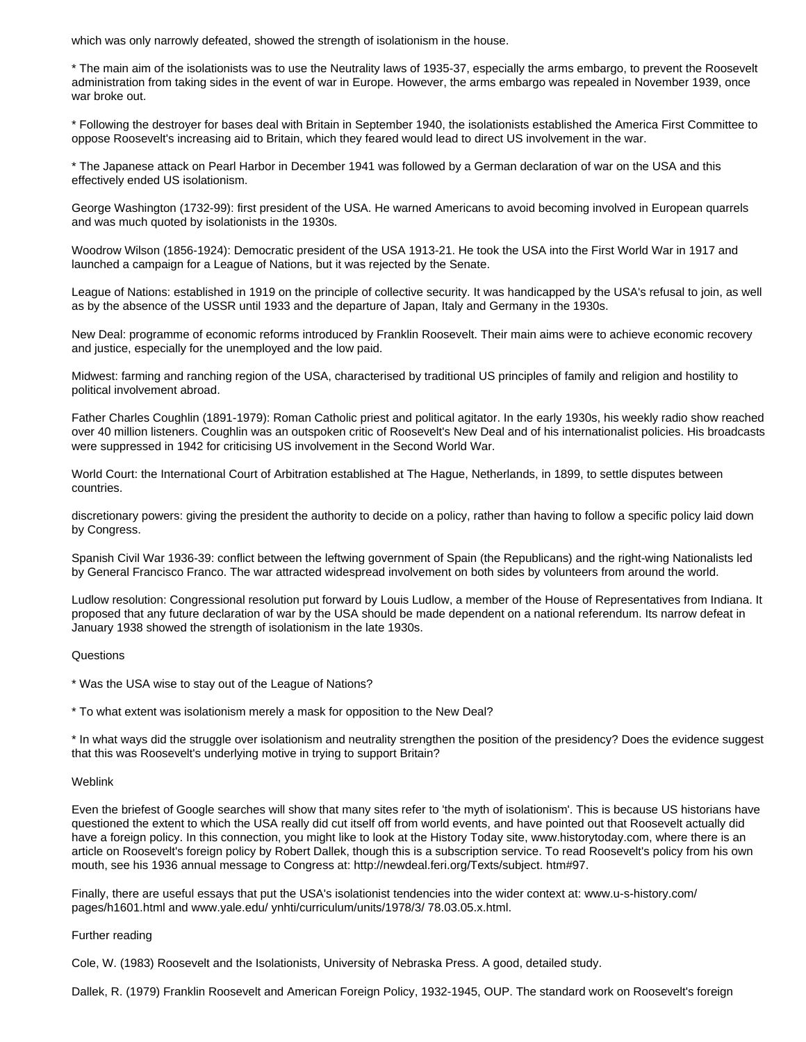which was only narrowly defeated, showed the strength of isolationism in the house.

\* The main aim of the isolationists was to use the Neutrality laws of 1935-37, especially the arms embargo, to prevent the Roosevelt administration from taking sides in the event of war in Europe. However, the arms embargo was repealed in November 1939, once war broke out.

\* Following the destroyer for bases deal with Britain in September 1940, the isolationists established the America First Committee to oppose Roosevelt's increasing aid to Britain, which they feared would lead to direct US involvement in the war.

\* The Japanese attack on Pearl Harbor in December 1941 was followed by a German declaration of war on the USA and this effectively ended US isolationism.

George Washington (1732-99): first president of the USA. He warned Americans to avoid becoming involved in European quarrels and was much quoted by isolationists in the 1930s.

Woodrow Wilson (1856-1924): Democratic president of the USA 1913-21. He took the USA into the First World War in 1917 and launched a campaign for a League of Nations, but it was rejected by the Senate.

League of Nations: established in 1919 on the principle of collective security. It was handicapped by the USA's refusal to join, as well as by the absence of the USSR until 1933 and the departure of Japan, Italy and Germany in the 1930s.

New Deal: programme of economic reforms introduced by Franklin Roosevelt. Their main aims were to achieve economic recovery and justice, especially for the unemployed and the low paid.

Midwest: farming and ranching region of the USA, characterised by traditional US principles of family and religion and hostility to political involvement abroad.

Father Charles Coughlin (1891-1979): Roman Catholic priest and political agitator. In the early 1930s, his weekly radio show reached over 40 million listeners. Coughlin was an outspoken critic of Roosevelt's New Deal and of his internationalist policies. His broadcasts were suppressed in 1942 for criticising US involvement in the Second World War.

World Court: the International Court of Arbitration established at The Hague, Netherlands, in 1899, to settle disputes between countries.

discretionary powers: giving the president the authority to decide on a policy, rather than having to follow a specific policy laid down by Congress.

Spanish Civil War 1936-39: conflict between the leftwing government of Spain (the Republicans) and the right-wing Nationalists led by General Francisco Franco. The war attracted widespread involvement on both sides by volunteers from around the world.

Ludlow resolution: Congressional resolution put forward by Louis Ludlow, a member of the House of Representatives from Indiana. It proposed that any future declaration of war by the USA should be made dependent on a national referendum. Its narrow defeat in January 1938 showed the strength of isolationism in the late 1930s.

## **Questions**

\* Was the USA wise to stay out of the League of Nations?

\* To what extent was isolationism merely a mask for opposition to the New Deal?

\* In what ways did the struggle over isolationism and neutrality strengthen the position of the presidency? Does the evidence suggest that this was Roosevelt's underlying motive in trying to support Britain?

## Weblink

Even the briefest of Google searches will show that many sites refer to 'the myth of isolationism'. This is because US historians have questioned the extent to which the USA really did cut itself off from world events, and have pointed out that Roosevelt actually did have a foreign policy. In this connection, you might like to look at the History Today site, www.historytoday.com, where there is an article on Roosevelt's foreign policy by Robert Dallek, though this is a subscription service. To read Roosevelt's policy from his own mouth, see his 1936 annual message to Congress at: http://newdeal.feri.org/Texts/subject. htm#97.

Finally, there are useful essays that put the USA's isolationist tendencies into the wider context at: www.u-s-history.com/ pages/h1601.html and www.yale.edu/ ynhti/curriculum/units/1978/3/ 78.03.05.x.html.

## Further reading

Cole, W. (1983) Roosevelt and the Isolationists, University of Nebraska Press. A good, detailed study.

Dallek, R. (1979) Franklin Roosevelt and American Foreign Policy, 1932-1945, OUP. The standard work on Roosevelt's foreign